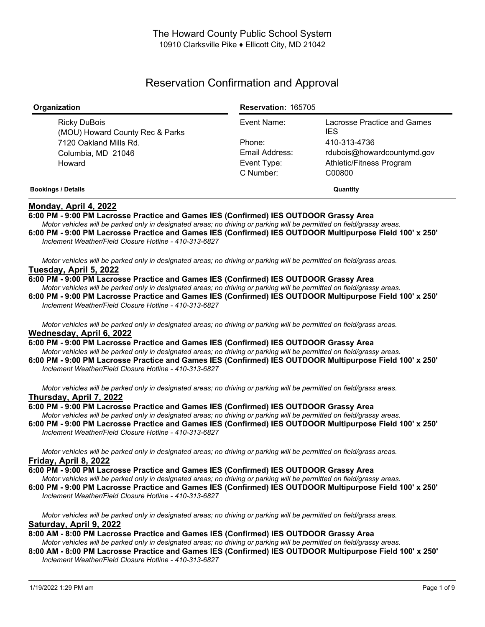# Reservation Confirmation and Approval

| Organization                                    | <b>Reservation: 165705</b> |                                           |
|-------------------------------------------------|----------------------------|-------------------------------------------|
| Ricky DuBois<br>(MOU) Howard County Rec & Parks | Event Name:                | Lacrosse Practice and Games<br><b>IES</b> |
| 7120 Oakland Mills Rd.                          | Phone:                     | 410-313-4736                              |
| Columbia, MD 21046                              | Email Address:             | rdubois@howardcountymd.gov                |
| Howard                                          | Event Type:                | Athletic/Fitness Program                  |
|                                                 | C Number:                  | C00800                                    |
| <b>Bookings / Details</b>                       | Quantity                   |                                           |

## **Monday, April 4, 2022**

**6:00 PM - 9:00 PM Lacrosse Practice and Games IES (Confirmed) IES OUTDOOR Grassy Area** Motor vehicles will be parked only in designated areas; no driving or parking will be permitted on field/grassy areas.

6:00 PM - 9:00 PM Lacrosse Practice and Games IES (Confirmed) IES OUTDOOR Multipurpose Field 100' x 250' *Inclement Weather/Field Closure Hotline - 410-313-6827*

Motor vehicles will be parked only in designated areas; no driving or parking will be permitted on field/grass areas. **Tuesday, April 5, 2022**

**6:00 PM - 9:00 PM Lacrosse Practice and Games IES (Confirmed) IES OUTDOOR Grassy Area** Motor vehicles will be parked only in designated areas; no driving or parking will be permitted on field/grassy areas. 6:00 PM - 9:00 PM Lacrosse Practice and Games IES (Confirmed) IES OUTDOOR Multipurpose Field 100' x 250' *Inclement Weather/Field Closure Hotline - 410-313-6827*

Motor vehicles will be parked only in designated areas; no driving or parking will be permitted on field/grass areas. **Wednesday, April 6, 2022**

- **6:00 PM - 9:00 PM Lacrosse Practice and Games IES (Confirmed) IES OUTDOOR Grassy Area** Motor vehicles will be parked only in designated areas; no driving or parking will be permitted on field/grassy areas.
- 6:00 PM 9:00 PM Lacrosse Practice and Games IES (Confirmed) IES OUTDOOR Multipurpose Field 100' x 250' *Inclement Weather/Field Closure Hotline - 410-313-6827*

Motor vehicles will be parked only in designated areas; no driving or parking will be permitted on field/grass areas. **Thursday, April 7, 2022**

**6:00 PM - 9:00 PM Lacrosse Practice and Games IES (Confirmed) IES OUTDOOR Grassy Area**

Motor vehicles will be parked only in designated areas; no driving or parking will be permitted on field/grassy areas.

6:00 PM - 9:00 PM Lacrosse Practice and Games IES (Confirmed) IES OUTDOOR Multipurpose Field 100' x 250' *Inclement Weather/Field Closure Hotline - 410-313-6827*

Motor vehicles will be parked only in designated areas; no driving or parking will be permitted on field/grass areas. **Friday, April 8, 2022**

**6:00 PM - 9:00 PM Lacrosse Practice and Games IES (Confirmed) IES OUTDOOR Grassy Area**

Motor vehicles will be parked only in designated areas; no driving or parking will be permitted on field/grassy areas.

6:00 PM - 9:00 PM Lacrosse Practice and Games IES (Confirmed) IES OUTDOOR Multipurpose Field 100' x 250' *Inclement Weather/Field Closure Hotline - 410-313-6827*

Motor vehicles will be parked only in designated areas; no driving or parking will be permitted on field/grass areas. **Saturday, April 9, 2022**

# **8:00 AM - 8:00 PM Lacrosse Practice and Games IES (Confirmed) IES OUTDOOR Grassy Area**

Motor vehicles will be parked only in designated areas; no driving or parking will be permitted on field/grassy areas.

8:00 AM - 8:00 PM Lacrosse Practice and Games IES (Confirmed) IES OUTDOOR Multipurpose Field 100' x 250' *Inclement Weather/Field Closure Hotline - 410-313-6827*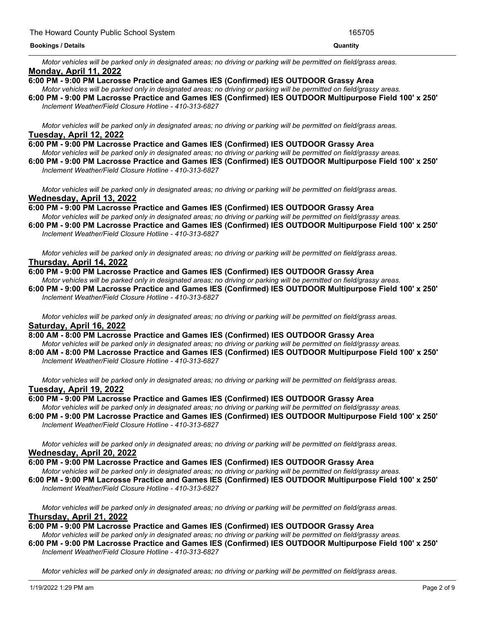Motor vehicles will be parked only in designated areas; no driving or parking will be permitted on field/grass areas. **Monday, April 11, 2022**

#### **6:00 PM - 9:00 PM Lacrosse Practice and Games IES (Confirmed) IES OUTDOOR Grassy Area**

Motor vehicles will be parked only in designated areas; no driving or parking will be permitted on field/grassy areas. 6:00 PM - 9:00 PM Lacrosse Practice and Games IES (Confirmed) IES OUTDOOR Multipurpose Field 100' x 250' *Inclement Weather/Field Closure Hotline - 410-313-6827*

Motor vehicles will be parked only in designated areas; no driving or parking will be permitted on field/grass areas. **Tuesday, April 12, 2022**

#### **6:00 PM - 9:00 PM Lacrosse Practice and Games IES (Confirmed) IES OUTDOOR Grassy Area**

Motor vehicles will be parked only in designated areas; no driving or parking will be permitted on field/grassy areas.

6:00 PM - 9:00 PM Lacrosse Practice and Games IES (Confirmed) IES OUTDOOR Multipurpose Field 100' x 250' *Inclement Weather/Field Closure Hotline - 410-313-6827*

Motor vehicles will be parked only in designated areas; no driving or parking will be permitted on field/grass areas. **Wednesday, April 13, 2022**

**6:00 PM - 9:00 PM Lacrosse Practice and Games IES (Confirmed) IES OUTDOOR Grassy Area**

Motor vehicles will be parked only in designated areas; no driving or parking will be permitted on field/grassy areas.

6:00 PM - 9:00 PM Lacrosse Practice and Games IES (Confirmed) IES OUTDOOR Multipurpose Field 100' x 250' *Inclement Weather/Field Closure Hotline - 410-313-6827*

Motor vehicles will be parked only in designated areas; no driving or parking will be permitted on field/grass areas. **Thursday, April 14, 2022**

#### **6:00 PM - 9:00 PM Lacrosse Practice and Games IES (Confirmed) IES OUTDOOR Grassy Area**

Motor vehicles will be parked only in designated areas: no driving or parking will be permitted on field/grassy areas.

6:00 PM - 9:00 PM Lacrosse Practice and Games IES (Confirmed) IES OUTDOOR Multipurpose Field 100' x 250' *Inclement Weather/Field Closure Hotline - 410-313-6827*

Motor vehicles will be parked only in designated areas; no driving or parking will be permitted on field/grass areas. **Saturday, April 16, 2022**

**8:00 AM - 8:00 PM Lacrosse Practice and Games IES (Confirmed) IES OUTDOOR Grassy Area**

Motor vehicles will be parked only in designated areas; no driving or parking will be permitted on field/grassy areas. 8:00 AM - 8:00 PM Lacrosse Practice and Games IES (Confirmed) IES OUTDOOR Multipurpose Field 100' x 250' *Inclement Weather/Field Closure Hotline - 410-313-6827*

Motor vehicles will be parked only in designated areas; no driving or parking will be permitted on field/grass areas.

# **Tuesday, April 19, 2022**

#### **6:00 PM - 9:00 PM Lacrosse Practice and Games IES (Confirmed) IES OUTDOOR Grassy Area**

Motor vehicles will be parked only in designated areas; no driving or parking will be permitted on field/grassy areas. 6:00 PM - 9:00 PM Lacrosse Practice and Games IES (Confirmed) IES OUTDOOR Multipurpose Field 100' x 250' *Inclement Weather/Field Closure Hotline - 410-313-6827*

Motor vehicles will be parked only in designated areas; no driving or parking will be permitted on field/grass areas.

#### **Wednesday, April 20, 2022**

- **6:00 PM - 9:00 PM Lacrosse Practice and Games IES (Confirmed) IES OUTDOOR Grassy Area**
- Motor vehicles will be parked only in designated areas; no driving or parking will be permitted on field/grassy areas. 6:00 PM - 9:00 PM Lacrosse Practice and Games IES (Confirmed) IES OUTDOOR Multipurpose Field 100' x 250'
- *Inclement Weather/Field Closure Hotline - 410-313-6827*

Motor vehicles will be parked only in designated areas; no driving or parking will be permitted on field/grass areas. **Thursday, April 21, 2022**

- **6:00 PM - 9:00 PM Lacrosse Practice and Games IES (Confirmed) IES OUTDOOR Grassy Area** Motor vehicles will be parked only in designated areas; no driving or parking will be permitted on field/grassy areas.
- 6:00 PM 9:00 PM Lacrosse Practice and Games IES (Confirmed) IES OUTDOOR Multipurpose Field 100' x 250' *Inclement Weather/Field Closure Hotline - 410-313-6827*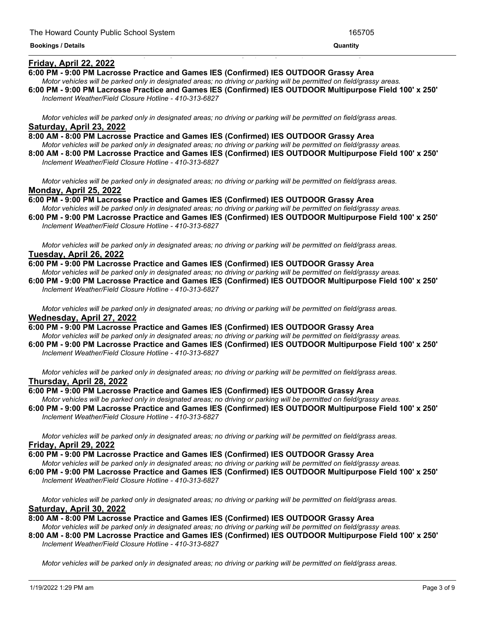# <u> 1989 - Andrea San Andrea San Andrea San Andrea San Andrea San Andrea San Andrea San Andrea San Andrea San An</u>

#### **Friday, April 22, 2022**

**6:00 PM - 9:00 PM Lacrosse Practice and Games IES (Confirmed) IES OUTDOOR Grassy Area**

- Motor vehicles will be parked only in designated areas; no driving or parking will be permitted on field/grassy areas.
- 6:00 PM 9:00 PM Lacrosse Practice and Games IES (Confirmed) IES OUTDOOR Multipurpose Field 100' x 250' *Inclement Weather/Field Closure Hotline - 410-313-6827*

Motor vehicles will be parked only in designated areas; no driving or parking will be permitted on field/grass areas. **Saturday, April 23, 2022**

- **8:00 AM - 8:00 PM Lacrosse Practice and Games IES (Confirmed) IES OUTDOOR Grassy Area** Motor vehicles will be parked only in designated areas; no driving or parking will be permitted on field/grassy areas.
- 8:00 AM 8:00 PM Lacrosse Practice and Games IES (Confirmed) IES OUTDOOR Multipurpose Field 100' x 250' *Inclement Weather/Field Closure Hotline - 410-313-6827*

Motor vehicles will be parked only in designated areas; no driving or parking will be permitted on field/grass areas. **Monday, April 25, 2022**

**6:00 PM - 9:00 PM Lacrosse Practice and Games IES (Confirmed) IES OUTDOOR Grassy Area** Motor vehicles will be parked only in designated areas; no driving or parking will be permitted on field/grassy areas.

6:00 PM - 9:00 PM Lacrosse Practice and Games IES (Confirmed) IES OUTDOOR Multipurpose Field 100' x 250' *Inclement Weather/Field Closure Hotline - 410-313-6827*

Motor vehicles will be parked only in designated areas; no driving or parking will be permitted on field/grass areas. **Tuesday, April 26, 2022**

**6:00 PM - 9:00 PM Lacrosse Practice and Games IES (Confirmed) IES OUTDOOR Grassy Area** Motor vehicles will be parked only in designated areas; no driving or parking will be permitted on field/grassy areas.

6:00 PM - 9:00 PM Lacrosse Practice and Games IES (Confirmed) IES OUTDOOR Multipurpose Field 100' x 250' *Inclement Weather/Field Closure Hotline - 410-313-6827*

Motor vehicles will be parked only in designated areas; no driving or parking will be permitted on field/grass areas. **Wednesday, April 27, 2022**

**6:00 PM - 9:00 PM Lacrosse Practice and Games IES (Confirmed) IES OUTDOOR Grassy Area** Motor vehicles will be parked only in designated areas; no driving or parking will be permitted on field/grassy areas.

6:00 PM - 9:00 PM Lacrosse Practice and Games IES (Confirmed) IES OUTDOOR Multipurpose Field 100' x 250' *Inclement Weather/Field Closure Hotline - 410-313-6827*

Motor vehicles will be parked only in designated areas; no driving or parking will be permitted on field/grass areas. **Thursday, April 28, 2022**

#### **6:00 PM - 9:00 PM Lacrosse Practice and Games IES (Confirmed) IES OUTDOOR Grassy Area**

Motor vehicles will be parked only in designated areas; no driving or parking will be permitted on field/grassy areas. 6:00 PM - 9:00 PM Lacrosse Practice and Games IES (Confirmed) IES OUTDOOR Multipurpose Field 100' x 250' *Inclement Weather/Field Closure Hotline - 410-313-6827*

Motor vehicles will be parked only in designated areas; no driving or parking will be permitted on field/grass areas. **Friday, April 29, 2022**

#### **6:00 PM - 9:00 PM Lacrosse Practice and Games IES (Confirmed) IES OUTDOOR Grassy Area**

Motor vehicles will be parked only in designated areas; no driving or parking will be permitted on field/grassy areas.

6:00 PM - 9:00 PM Lacrosse Practice and Games IES (Confirmed) IES OUTDOOR Multipurpose Field 100' x 250' *Inclement Weather/Field Closure Hotline - 410-313-6827*

Motor vehicles will be parked only in designated areas; no driving or parking will be permitted on field/grass areas. **Saturday, April 30, 2022**

**8:00 AM - 8:00 PM Lacrosse Practice and Games IES (Confirmed) IES OUTDOOR Grassy Area**

Motor vehicles will be parked only in designated areas; no driving or parking will be permitted on field/grassy areas.

8:00 AM - 8:00 PM Lacrosse Practice and Games IES (Confirmed) IES OUTDOOR Multipurpose Field 100' x 250' *Inclement Weather/Field Closure Hotline - 410-313-6827*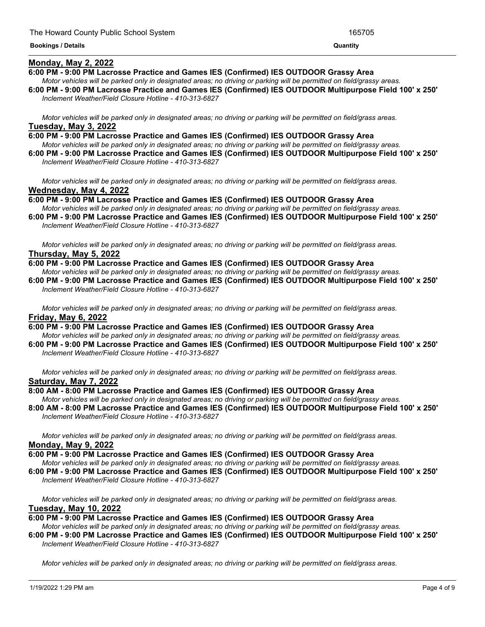#### **Monday, May 2, 2022**

**6:00 PM - 9:00 PM Lacrosse Practice and Games IES (Confirmed) IES OUTDOOR Grassy Area**

Motor vehicles will be parked only in designated areas; no driving or parking will be permitted on field/grassy areas.

<u> 1989 - Andrea Andrea Andrea Andrea Andrea Andrea Andrea Andrea Andrea Andrea Andrea Andrea Andrea Andrea Andr</u>

6:00 PM - 9:00 PM Lacrosse Practice and Games IES (Confirmed) IES OUTDOOR Multipurpose Field 100' x 250' *Inclement Weather/Field Closure Hotline - 410-313-6827*

Motor vehicles will be parked only in designated areas; no driving or parking will be permitted on field/grass areas. **Tuesday, May 3, 2022**

- **6:00 PM - 9:00 PM Lacrosse Practice and Games IES (Confirmed) IES OUTDOOR Grassy Area** Motor vehicles will be parked only in designated areas; no driving or parking will be permitted on field/grassy areas.
- 6:00 PM 9:00 PM Lacrosse Practice and Games IES (Confirmed) IES OUTDOOR Multipurpose Field 100' x 250' *Inclement Weather/Field Closure Hotline - 410-313-6827*

Motor vehicles will be parked only in designated areas; no driving or parking will be permitted on field/grass areas. **Wednesday, May 4, 2022**

**6:00 PM - 9:00 PM Lacrosse Practice and Games IES (Confirmed) IES OUTDOOR Grassy Area** Motor vehicles will be parked only in designated areas; no driving or parking will be permitted on field/grassy areas.

6:00 PM - 9:00 PM Lacrosse Practice and Games IES (Confirmed) IES OUTDOOR Multipurpose Field 100' x 250' *Inclement Weather/Field Closure Hotline - 410-313-6827*

Motor vehicles will be parked only in designated areas; no driving or parking will be permitted on field/grass areas. **Thursday, May 5, 2022**

**6:00 PM - 9:00 PM Lacrosse Practice and Games IES (Confirmed) IES OUTDOOR Grassy Area**

Motor vehicles will be parked only in designated areas: no driving or parking will be permitted on field/grassy areas. 6:00 PM - 9:00 PM Lacrosse Practice and Games IES (Confirmed) IES OUTDOOR Multipurpose Field 100' x 250' *Inclement Weather/Field Closure Hotline - 410-313-6827*

Motor vehicles will be parked only in designated areas; no driving or parking will be permitted on field/grass areas. **Friday, May 6, 2022**

**6:00 PM - 9:00 PM Lacrosse Practice and Games IES (Confirmed) IES OUTDOOR Grassy Area**

Motor vehicles will be parked only in designated areas; no driving or parking will be permitted on field/grassy areas.

6:00 PM - 9:00 PM Lacrosse Practice and Games IES (Confirmed) IES OUTDOOR Multipurpose Field 100' x 250' *Inclement Weather/Field Closure Hotline - 410-313-6827*

Motor vehicles will be parked only in designated areas: no driving or parking will be permitted on field/grass areas. **Saturday, May 7, 2022**

#### **8:00 AM - 8:00 PM Lacrosse Practice and Games IES (Confirmed) IES OUTDOOR Grassy Area**

Motor vehicles will be parked only in designated areas; no driving or parking will be permitted on field/grassy areas. 8:00 AM - 8:00 PM Lacrosse Practice and Games IES (Confirmed) IES OUTDOOR Multipurpose Field 100' x 250' *Inclement Weather/Field Closure Hotline - 410-313-6827*

Motor vehicles will be parked only in designated areas; no driving or parking will be permitted on field/grass areas. **Monday, May 9, 2022**

#### **6:00 PM - 9:00 PM Lacrosse Practice and Games IES (Confirmed) IES OUTDOOR Grassy Area**

Motor vehicles will be parked only in designated areas; no driving or parking will be permitted on field/grassy areas.

6:00 PM - 9:00 PM Lacrosse Practice and Games IES (Confirmed) IES OUTDOOR Multipurpose Field 100' x 250' *Inclement Weather/Field Closure Hotline - 410-313-6827*

Motor vehicles will be parked only in designated areas; no driving or parking will be permitted on field/grass areas. **Tuesday, May 10, 2022**

**6:00 PM - 9:00 PM Lacrosse Practice and Games IES (Confirmed) IES OUTDOOR Grassy Area**

Motor vehicles will be parked only in designated areas; no driving or parking will be permitted on field/grassy areas.

6:00 PM - 9:00 PM Lacrosse Practice and Games IES (Confirmed) IES OUTDOOR Multipurpose Field 100' x 250' *Inclement Weather/Field Closure Hotline - 410-313-6827*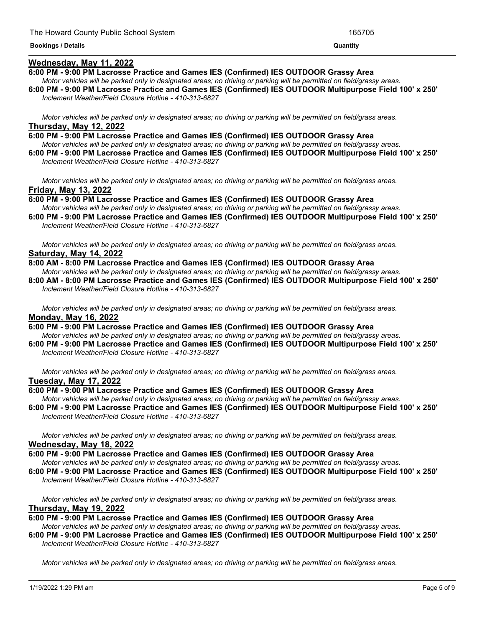#### **Wednesday, May 11, 2022**

**6:00 PM - 9:00 PM Lacrosse Practice and Games IES (Confirmed) IES OUTDOOR Grassy Area**

- Motor vehicles will be parked only in designated areas; no driving or parking will be permitted on field/grassy areas.
- 6:00 PM 9:00 PM Lacrosse Practice and Games IES (Confirmed) IES OUTDOOR Multipurpose Field 100' x 250' *Inclement Weather/Field Closure Hotline - 410-313-6827*

Motor vehicles will be parked only in designated areas; no driving or parking will be permitted on field/grass areas. **Thursday, May 12, 2022**

**6:00 PM - 9:00 PM Lacrosse Practice and Games IES (Confirmed) IES OUTDOOR Grassy Area** Motor vehicles will be parked only in designated areas; no driving or parking will be permitted on field/grassy areas.

6:00 PM - 9:00 PM Lacrosse Practice and Games IES (Confirmed) IES OUTDOOR Multipurpose Field 100' x 250' *Inclement Weather/Field Closure Hotline - 410-313-6827*

Motor vehicles will be parked only in designated areas; no driving or parking will be permitted on field/grass areas. **Friday, May 13, 2022**

**6:00 PM - 9:00 PM Lacrosse Practice and Games IES (Confirmed) IES OUTDOOR Grassy Area** Motor vehicles will be parked only in designated areas; no driving or parking will be permitted on field/grassy areas.

6:00 PM - 9:00 PM Lacrosse Practice and Games IES (Confirmed) IES OUTDOOR Multipurpose Field 100' x 250' *Inclement Weather/Field Closure Hotline - 410-313-6827*

Motor vehicles will be parked only in designated areas; no driving or parking will be permitted on field/grass areas. **Saturday, May 14, 2022**

**8:00 AM - 8:00 PM Lacrosse Practice and Games IES (Confirmed) IES OUTDOOR Grassy Area**

Motor vehicles will be parked only in designated areas: no driving or parking will be permitted on field/grassy areas. 8:00 AM - 8:00 PM Lacrosse Practice and Games IES (Confirmed) IES OUTDOOR Multipurpose Field 100' x 250' *Inclement Weather/Field Closure Hotline - 410-313-6827*

Motor vehicles will be parked only in designated areas; no driving or parking will be permitted on field/grass areas. **Monday, May 16, 2022**

**6:00 PM - 9:00 PM Lacrosse Practice and Games IES (Confirmed) IES OUTDOOR Grassy Area** Motor vehicles will be parked only in designated areas; no driving or parking will be permitted on field/grassy areas.

6:00 PM - 9:00 PM Lacrosse Practice and Games IES (Confirmed) IES OUTDOOR Multipurpose Field 100' x 250' *Inclement Weather/Field Closure Hotline - 410-313-6827*

Motor vehicles will be parked only in designated areas; no driving or parking will be permitted on field/grass areas. **Tuesday, May 17, 2022**

#### **6:00 PM - 9:00 PM Lacrosse Practice and Games IES (Confirmed) IES OUTDOOR Grassy Area**

Motor vehicles will be parked only in designated areas; no driving or parking will be permitted on field/grassy areas. 6:00 PM - 9:00 PM Lacrosse Practice and Games IES (Confirmed) IES OUTDOOR Multipurpose Field 100' x 250' *Inclement Weather/Field Closure Hotline - 410-313-6827*

Motor vehicles will be parked only in designated areas; no driving or parking will be permitted on field/grass areas. **Wednesday, May 18, 2022**

#### **6:00 PM - 9:00 PM Lacrosse Practice and Games IES (Confirmed) IES OUTDOOR Grassy Area**

Motor vehicles will be parked only in designated areas; no driving or parking will be permitted on field/grassy areas.

6:00 PM - 9:00 PM Lacrosse Practice and Games IES (Confirmed) IES OUTDOOR Multipurpose Field 100' x 250' *Inclement Weather/Field Closure Hotline - 410-313-6827*

Motor vehicles will be parked only in designated areas; no driving or parking will be permitted on field/grass areas. **Thursday, May 19, 2022**

**6:00 PM - 9:00 PM Lacrosse Practice and Games IES (Confirmed) IES OUTDOOR Grassy Area**

- Motor vehicles will be parked only in designated areas; no driving or parking will be permitted on field/grassy areas.
- 6:00 PM 9:00 PM Lacrosse Practice and Games IES (Confirmed) IES OUTDOOR Multipurpose Field 100' x 250' *Inclement Weather/Field Closure Hotline - 410-313-6827*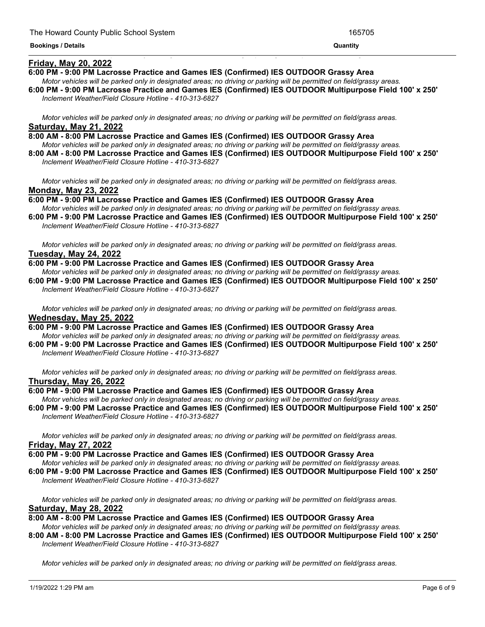#### **Friday, May 20, 2022**

**6:00 PM - 9:00 PM Lacrosse Practice and Games IES (Confirmed) IES OUTDOOR Grassy Area**

Motor vehicles will be parked only in designated areas; no driving or parking will be permitted on field/grassy areas.

<u> 1989 - Andrea Andrea Andrea Andrea Andrea Andrea Andrea Andrea Andrea Andrea Andrea Andrea Andrea Andrea And</u>

6:00 PM - 9:00 PM Lacrosse Practice and Games IES (Confirmed) IES OUTDOOR Multipurpose Field 100' x 250' *Inclement Weather/Field Closure Hotline - 410-313-6827*

Motor vehicles will be parked only in designated areas; no driving or parking will be permitted on field/grass areas. **Saturday, May 21, 2022**

- **8:00 AM - 8:00 PM Lacrosse Practice and Games IES (Confirmed) IES OUTDOOR Grassy Area** Motor vehicles will be parked only in designated areas; no driving or parking will be permitted on field/grassy areas.
- 8:00 AM 8:00 PM Lacrosse Practice and Games IES (Confirmed) IES OUTDOOR Multipurpose Field 100' x 250' *Inclement Weather/Field Closure Hotline - 410-313-6827*

Motor vehicles will be parked only in designated areas; no driving or parking will be permitted on field/grass areas. **Monday, May 23, 2022**

**6:00 PM - 9:00 PM Lacrosse Practice and Games IES (Confirmed) IES OUTDOOR Grassy Area** Motor vehicles will be parked only in designated areas; no driving or parking will be permitted on field/grassy areas.

6:00 PM - 9:00 PM Lacrosse Practice and Games IES (Confirmed) IES OUTDOOR Multipurpose Field 100' x 250' *Inclement Weather/Field Closure Hotline - 410-313-6827*

Motor vehicles will be parked only in designated areas; no driving or parking will be permitted on field/grass areas. **Tuesday, May 24, 2022**

**6:00 PM - 9:00 PM Lacrosse Practice and Games IES (Confirmed) IES OUTDOOR Grassy Area**

Motor vehicles will be parked only in designated areas; no driving or parking will be permitted on field/grassy areas. 6:00 PM - 9:00 PM Lacrosse Practice and Games IES (Confirmed) IES OUTDOOR Multipurpose Field 100' x 250' *Inclement Weather/Field Closure Hotline - 410-313-6827*

Motor vehicles will be parked only in designated areas; no driving or parking will be permitted on field/grass areas. **Wednesday, May 25, 2022**

**6:00 PM - 9:00 PM Lacrosse Practice and Games IES (Confirmed) IES OUTDOOR Grassy Area**

Motor vehicles will be parked only in designated areas; no driving or parking will be permitted on field/grassy areas.

6:00 PM - 9:00 PM Lacrosse Practice and Games IES (Confirmed) IES OUTDOOR Multipurpose Field 100' x 250' *Inclement Weather/Field Closure Hotline - 410-313-6827*

Motor vehicles will be parked only in designated areas; no driving or parking will be permitted on field/grass areas. **Thursday, May 26, 2022**

#### **6:00 PM - 9:00 PM Lacrosse Practice and Games IES (Confirmed) IES OUTDOOR Grassy Area**

Motor vehicles will be parked only in designated areas; no driving or parking will be permitted on field/grassy areas. 6:00 PM - 9:00 PM Lacrosse Practice and Games IES (Confirmed) IES OUTDOOR Multipurpose Field 100' x 250' *Inclement Weather/Field Closure Hotline - 410-313-6827*

Motor vehicles will be parked only in designated areas; no driving or parking will be permitted on field/grass areas. **Friday, May 27, 2022**

#### **6:00 PM - 9:00 PM Lacrosse Practice and Games IES (Confirmed) IES OUTDOOR Grassy Area**

Motor vehicles will be parked only in designated areas; no driving or parking will be permitted on field/grassy areas.

6:00 PM - 9:00 PM Lacrosse Practice and Games IES (Confirmed) IES OUTDOOR Multipurpose Field 100' x 250' *Inclement Weather/Field Closure Hotline - 410-313-6827*

Motor vehicles will be parked only in designated areas; no driving or parking will be permitted on field/grass areas. **Saturday, May 28, 2022**

**8:00 AM - 8:00 PM Lacrosse Practice and Games IES (Confirmed) IES OUTDOOR Grassy Area**

Motor vehicles will be parked only in designated areas; no driving or parking will be permitted on field/grassy areas.

8:00 AM - 8:00 PM Lacrosse Practice and Games IES (Confirmed) IES OUTDOOR Multipurpose Field 100' x 250' *Inclement Weather/Field Closure Hotline - 410-313-6827*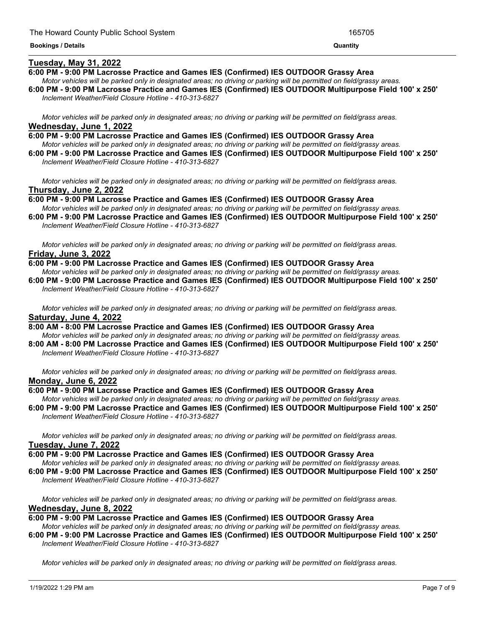#### **Tuesday, May 31, 2022**

#### **6:00 PM - 9:00 PM Lacrosse Practice and Games IES (Confirmed) IES OUTDOOR Grassy Area**

Motor vehicles will be parked only in designated areas; no driving or parking will be permitted on field/grassy areas. 6:00 PM - 9:00 PM Lacrosse Practice and Games IES (Confirmed) IES OUTDOOR Multipurpose Field 100' x 250'

<u> 1989 - Andrea Andrea Andrea Andrea Andrea Andrea Andrea Andrea Andrea Andrea Andrea Andrea Andrea Andrea Andr</u>

*Inclement Weather/Field Closure Hotline - 410-313-6827*

Motor vehicles will be parked only in designated areas; no driving or parking will be permitted on field/grass areas. **Wednesday, June 1, 2022**

**6:00 PM - 9:00 PM Lacrosse Practice and Games IES (Confirmed) IES OUTDOOR Grassy Area** Motor vehicles will be parked only in designated areas; no driving or parking will be permitted on field/grassy areas.

6:00 PM - 9:00 PM Lacrosse Practice and Games IES (Confirmed) IES OUTDOOR Multipurpose Field 100' x 250' *Inclement Weather/Field Closure Hotline - 410-313-6827*

Motor vehicles will be parked only in designated areas; no driving or parking will be permitted on field/grass areas. **Thursday, June 2, 2022**

**6:00 PM - 9:00 PM Lacrosse Practice and Games IES (Confirmed) IES OUTDOOR Grassy Area** Motor vehicles will be parked only in designated areas; no driving or parking will be permitted on field/grassy areas.

6:00 PM - 9:00 PM Lacrosse Practice and Games IES (Confirmed) IES OUTDOOR Multipurpose Field 100' x 250' *Inclement Weather/Field Closure Hotline - 410-313-6827*

Motor vehicles will be parked only in designated areas; no driving or parking will be permitted on field/grass areas. **Friday, June 3, 2022**

**6:00 PM - 9:00 PM Lacrosse Practice and Games IES (Confirmed) IES OUTDOOR Grassy Area**

Motor vehicles will be parked only in designated areas: no driving or parking will be permitted on field/grassy areas. 6:00 PM - 9:00 PM Lacrosse Practice and Games IES (Confirmed) IES OUTDOOR Multipurpose Field 100' x 250' *Inclement Weather/Field Closure Hotline - 410-313-6827*

Motor vehicles will be parked only in designated areas; no driving or parking will be permitted on field/grass areas. **Saturday, June 4, 2022**

**8:00 AM - 8:00 PM Lacrosse Practice and Games IES (Confirmed) IES OUTDOOR Grassy Area** Motor vehicles will be parked only in designated areas; no driving or parking will be permitted on field/grassy areas.

8:00 AM - 8:00 PM Lacrosse Practice and Games IES (Confirmed) IES OUTDOOR Multipurpose Field 100' x 250' *Inclement Weather/Field Closure Hotline - 410-313-6827*

Motor vehicles will be parked only in designated areas: no driving or parking will be permitted on field/grass areas. **Monday, June 6, 2022**

#### **6:00 PM - 9:00 PM Lacrosse Practice and Games IES (Confirmed) IES OUTDOOR Grassy Area**

Motor vehicles will be parked only in designated areas; no driving or parking will be permitted on field/grassy areas. 6:00 PM - 9:00 PM Lacrosse Practice and Games IES (Confirmed) IES OUTDOOR Multipurpose Field 100' x 250' *Inclement Weather/Field Closure Hotline - 410-313-6827*

Motor vehicles will be parked only in designated areas; no driving or parking will be permitted on field/grass areas. **Tuesday, June 7, 2022**

#### **6:00 PM - 9:00 PM Lacrosse Practice and Games IES (Confirmed) IES OUTDOOR Grassy Area**

Motor vehicles will be parked only in designated areas; no driving or parking will be permitted on field/grassy areas.

6:00 PM - 9:00 PM Lacrosse Practice and Games IES (Confirmed) IES OUTDOOR Multipurpose Field 100' x 250' *Inclement Weather/Field Closure Hotline - 410-313-6827*

Motor vehicles will be parked only in designated areas; no driving or parking will be permitted on field/grass areas. **Wednesday, June 8, 2022**

**6:00 PM - 9:00 PM Lacrosse Practice and Games IES (Confirmed) IES OUTDOOR Grassy Area**

- Motor vehicles will be parked only in designated areas; no driving or parking will be permitted on field/grassy areas.
- 6:00 PM 9:00 PM Lacrosse Practice and Games IES (Confirmed) IES OUTDOOR Multipurpose Field 100' x 250' *Inclement Weather/Field Closure Hotline - 410-313-6827*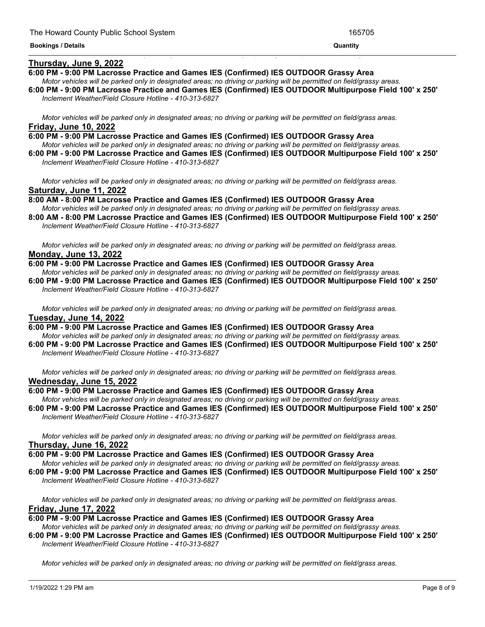#### **Thursday, June 9, 2022**

**6:00 PM - 9:00 PM Lacrosse Practice and Games IES (Confirmed) IES OUTDOOR Grassy Area**

Motor vehicles will be parked only in designated areas; no driving or parking will be permitted on field/grassy areas.

<u> 1989 - Andrea San Andrea San Andrea San Andrea San Andrea San Andrea San Andrea San Andrea San Andrea San An</u>

6:00 PM - 9:00 PM Lacrosse Practice and Games IES (Confirmed) IES OUTDOOR Multipurpose Field 100' x 250' *Inclement Weather/Field Closure Hotline - 410-313-6827*

Motor vehicles will be parked only in designated areas; no driving or parking will be permitted on field/grass areas. **Friday, June 10, 2022**

- **6:00 PM - 9:00 PM Lacrosse Practice and Games IES (Confirmed) IES OUTDOOR Grassy Area** Motor vehicles will be parked only in designated areas; no driving or parking will be permitted on field/grassy areas.
- 6:00 PM 9:00 PM Lacrosse Practice and Games IES (Confirmed) IES OUTDOOR Multipurpose Field 100' x 250' *Inclement Weather/Field Closure Hotline - 410-313-6827*

Motor vehicles will be parked only in designated areas; no driving or parking will be permitted on field/grass areas. **Saturday, June 11, 2022**

**8:00 AM - 8:00 PM Lacrosse Practice and Games IES (Confirmed) IES OUTDOOR Grassy Area** Motor vehicles will be parked only in designated areas; no driving or parking will be permitted on field/grassy areas.

8:00 AM - 8:00 PM Lacrosse Practice and Games IES (Confirmed) IES OUTDOOR Multipurpose Field 100' x 250' *Inclement Weather/Field Closure Hotline - 410-313-6827*

Motor vehicles will be parked only in designated areas; no driving or parking will be permitted on field/grass areas. **Monday, June 13, 2022**

**6:00 PM - 9:00 PM Lacrosse Practice and Games IES (Confirmed) IES OUTDOOR Grassy Area** Motor vehicles will be parked only in designated areas; no driving or parking will be permitted on field/grassy areas.

6:00 PM - 9:00 PM Lacrosse Practice and Games IES (Confirmed) IES OUTDOOR Multipurpose Field 100' x 250' *Inclement Weather/Field Closure Hotline - 410-313-6827*

Motor vehicles will be parked only in designated areas; no driving or parking will be permitted on field/grass areas. **Tuesday, June 14, 2022**

**6:00 PM - 9:00 PM Lacrosse Practice and Games IES (Confirmed) IES OUTDOOR Grassy Area** Motor vehicles will be parked only in designated areas; no driving or parking will be permitted on field/grassy areas.

6:00 PM - 9:00 PM Lacrosse Practice and Games IES (Confirmed) IES OUTDOOR Multipurpose Field 100' x 250' *Inclement Weather/Field Closure Hotline - 410-313-6827*

Motor vehicles will be parked only in designated areas; no driving or parking will be permitted on field/grass areas. **Wednesday, June 15, 2022**

#### **6:00 PM - 9:00 PM Lacrosse Practice and Games IES (Confirmed) IES OUTDOOR Grassy Area**

Motor vehicles will be parked only in designated areas; no driving or parking will be permitted on field/grassy areas. 6:00 PM - 9:00 PM Lacrosse Practice and Games IES (Confirmed) IES OUTDOOR Multipurpose Field 100' x 250' *Inclement Weather/Field Closure Hotline - 410-313-6827*

Motor vehicles will be parked only in designated areas; no driving or parking will be permitted on field/grass areas. **Thursday, June 16, 2022**

**6:00 PM - 9:00 PM Lacrosse Practice and Games IES (Confirmed) IES OUTDOOR Grassy Area**

Motor vehicles will be parked only in designated areas; no driving or parking will be permitted on field/grassy areas.

6:00 PM - 9:00 PM Lacrosse Practice and Games IES (Confirmed) IES OUTDOOR Multipurpose Field 100' x 250' *Inclement Weather/Field Closure Hotline - 410-313-6827*

Motor vehicles will be parked only in designated areas; no driving or parking will be permitted on field/grass areas. **Friday, June 17, 2022**

**6:00 PM - 9:00 PM Lacrosse Practice and Games IES (Confirmed) IES OUTDOOR Grassy Area**

Motor vehicles will be parked only in designated areas; no driving or parking will be permitted on field/grassy areas. 6:00 PM - 9:00 PM Lacrosse Practice and Games IES (Confirmed) IES OUTDOOR Multipurpose Field 100' x 250'

*Inclement Weather/Field Closure Hotline - 410-313-6827*